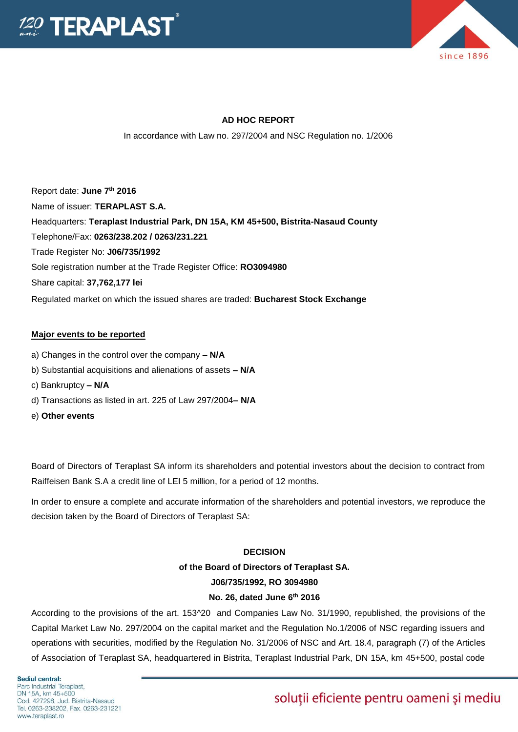



# **AD HOC REPORT**

In accordance with Law no. 297/2004 and NSC Regulation no. 1/2006

Report date: **June 7th 2016** Name of issuer: **TERAPLAST S.A.**  Headquarters: **Teraplast Industrial Park, DN 15A, KM 45+500, Bistrita-Nasaud County** Telephone/Fax: **0263/238.202 / 0263/231.221** Trade Register No: **J06/735/1992** Sole registration number at the Trade Register Office: **RO3094980** Share capital: **37,762,177 lei**  Regulated market on which the issued shares are traded: **Bucharest Stock Exchange**

#### **Major events to be reported**

- a) Changes in the control over the company **– N/A**
- b) Substantial acquisitions and alienations of assets **– N/A**
- c) Bankruptcy **– N/A**
- d) Transactions as listed in art. 225 of Law 297/2004**– N/A**
- e) **Other events**

Board of Directors of Teraplast SA inform its shareholders and potential investors about the decision to contract from Raiffeisen Bank S.A a credit line of LEI 5 million, for a period of 12 months.

In order to ensure a complete and accurate information of the shareholders and potential investors, we reproduce the decision taken by the Board of Directors of Teraplast SA:

#### **DECISION**

# **of the Board of Directors of Teraplast SA. J06/735/1992, RO 3094980**

# **No. 26, dated June 6th 2016**

According to the provisions of the art. 153^20 and Companies Law No. 31/1990, republished, the provisions of the Capital Market Law No. 297/2004 on the capital market and the Regulation No.1/2006 of NSC regarding issuers and operations with securities, modified by the Regulation No. 31/2006 of NSC and Art. 18.4, paragraph (7) of the Articles of Association of Teraplast SA, headquartered in Bistrita, Teraplast Industrial Park, DN 15A, km 45+500, postal code

Sediul central: Parc Industrial Teraplast. DN 15A, km 45+500 Cod. 427298, Jud. Bistrita-Nasaud Tel. 0263-238202, Fax. 0263-231221 www.teraplast.ro

# soluții eficiente pentru oameni și mediu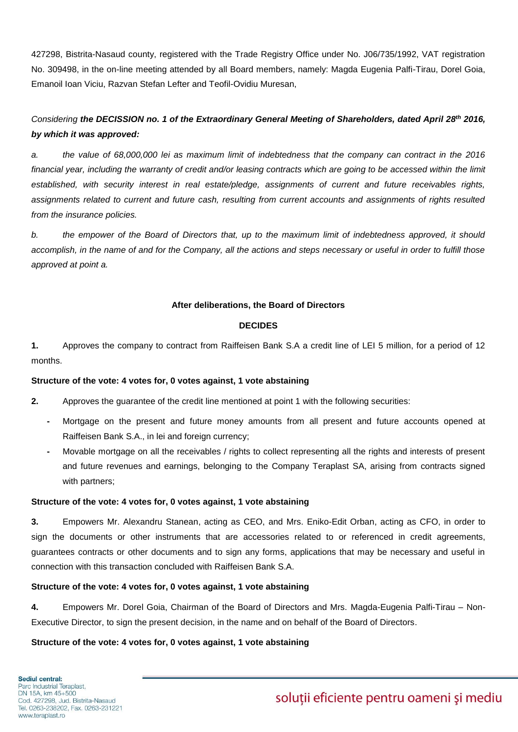427298, Bistrita-Nasaud county, registered with the Trade Registry Office under No. J06/735/1992, VAT registration No. 309498, in the on-line meeting attended by all Board members, namely: Magda Eugenia Palfi-Tirau, Dorel Goia, Emanoil Ioan Viciu, Razvan Stefan Lefter and Teofil-Ovidiu Muresan,

# *Considering the DECISSION no. 1 of the Extraordinary General Meeting of Shareholders, dated April 28th 2016, by which it was approved:*

*a. the value of 68,000,000 lei as maximum limit of indebtedness that the company can contract in the 2016 financial year, including the warranty of credit and/or leasing contracts which are going to be accessed within the limit* established, with security interest in real estate/pledge, assignments of current and future receivables rights, *assignments related to current and future cash, resulting from current accounts and assignments of rights resulted from the insurance policies.* 

*b. the empower of the Board of Directors that, up to the maximum limit of indebtedness approved, it should accomplish, in the name of and for the Company, all the actions and steps necessary or useful in order to fulfill those approved at point a.*

#### **After deliberations, the Board of Directors**

### **DECIDES**

**1.** Approves the company to contract from Raiffeisen Bank S.A a credit line of LEI 5 million, for a period of 12 months.

#### **Structure of the vote: 4 votes for, 0 votes against, 1 vote abstaining**

**2.** Approves the guarantee of the credit line mentioned at point 1 with the following securities:

- **-** Mortgage on the present and future money amounts from all present and future accounts opened at Raiffeisen Bank S.A., in lei and foreign currency;
- **-** Movable mortgage on all the receivables / rights to collect representing all the rights and interests of present and future revenues and earnings, belonging to the Company Teraplast SA, arising from contracts signed with partners;

#### **Structure of the vote: 4 votes for, 0 votes against, 1 vote abstaining**

**3.** Empowers Mr. Alexandru Stanean, acting as CEO, and Mrs. Eniko-Edit Orban, acting as CFO, in order to sign the documents or other instruments that are accessories related to or referenced in credit agreements, guarantees contracts or other documents and to sign any forms, applications that may be necessary and useful in connection with this transaction concluded with Raiffeisen Bank S.A.

# **Structure of the vote: 4 votes for, 0 votes against, 1 vote abstaining**

**4.** Empowers Mr. Dorel Goia, Chairman of the Board of Directors and Mrs. Magda-Eugenia Palfi-Tirau – Non-Executive Director, to sign the present decision, in the name and on behalf of the Board of Directors.

# **Structure of the vote: 4 votes for, 0 votes against, 1 vote abstaining**